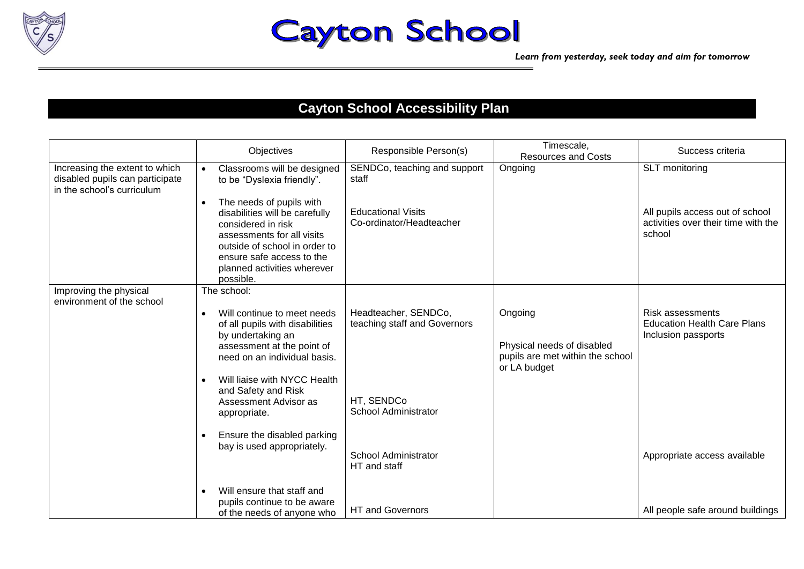

## **Cayton School**

## **Cayton School Accessibility Plan**

|                                                                                                 | Objectives                                                                                                                                                                                                               | Responsible Person(s)                                 | Timescale,<br><b>Resources and Costs</b>                                                  | Success criteria                                                                     |
|-------------------------------------------------------------------------------------------------|--------------------------------------------------------------------------------------------------------------------------------------------------------------------------------------------------------------------------|-------------------------------------------------------|-------------------------------------------------------------------------------------------|--------------------------------------------------------------------------------------|
| Increasing the extent to which<br>disabled pupils can participate<br>in the school's curriculum | Classrooms will be designed<br>to be "Dyslexia friendly".                                                                                                                                                                | SENDCo, teaching and support<br>staff                 | Ongoing                                                                                   | SLT monitoring                                                                       |
|                                                                                                 | The needs of pupils with<br>disabilities will be carefully<br>considered in risk<br>assessments for all visits<br>outside of school in order to<br>ensure safe access to the<br>planned activities wherever<br>possible. | <b>Educational Visits</b><br>Co-ordinator/Headteacher |                                                                                           | All pupils access out of school<br>activities over their time with the<br>school     |
| Improving the physical<br>environment of the school                                             | The school:                                                                                                                                                                                                              |                                                       |                                                                                           |                                                                                      |
|                                                                                                 | Will continue to meet needs<br>of all pupils with disabilities<br>by undertaking an<br>assessment at the point of<br>need on an individual basis.                                                                        | Headteacher, SENDCo,<br>teaching staff and Governors  | Ongoing<br>Physical needs of disabled<br>pupils are met within the school<br>or LA budget | <b>Risk assessments</b><br><b>Education Health Care Plans</b><br>Inclusion passports |
|                                                                                                 | Will liaise with NYCC Health<br>and Safety and Risk<br>Assessment Advisor as<br>appropriate.                                                                                                                             | HT, SENDCo<br><b>School Administrator</b>             |                                                                                           |                                                                                      |
|                                                                                                 | Ensure the disabled parking<br>bay is used appropriately.                                                                                                                                                                | <b>School Administrator</b><br>HT and staff           |                                                                                           | Appropriate access available                                                         |
|                                                                                                 | Will ensure that staff and<br>pupils continue to be aware<br>of the needs of anyone who                                                                                                                                  | <b>HT and Governors</b>                               |                                                                                           | All people safe around buildings                                                     |